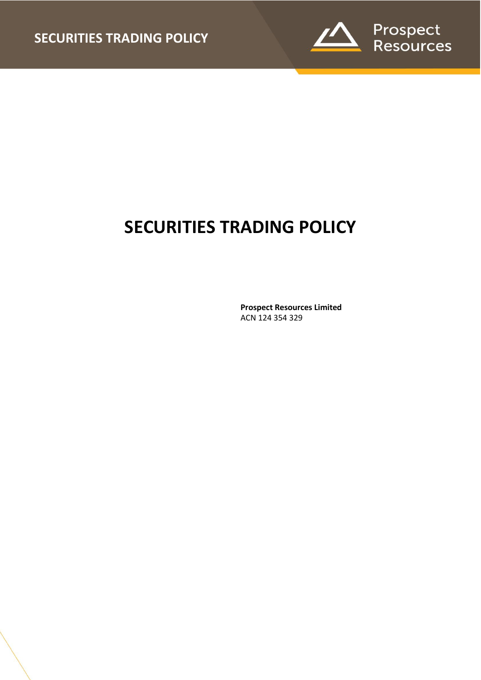

# **SECURITIES TRADING POLICY**

**Prospect Resources Limited** ACN 124 354 329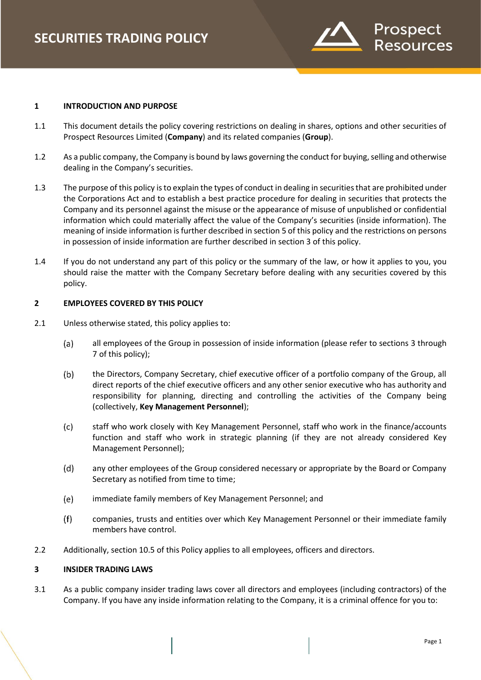

#### **1 INTRODUCTION AND PURPOSE**

- 1.1 This document details the policy covering restrictions on dealing in shares, options and other securities of Prospect Resources Limited (**Company**) and its related companies (**Group**).
- 1.2 As a public company, the Company is bound by laws governing the conduct for buying, selling and otherwise dealing in the Company's securities.
- 1.3 The purpose of this policy is to explain the types of conduct in dealing in securities that are prohibited under the Corporations Act and to establish a best practice procedure for dealing in securities that protects the Company and its personnel against the misuse or the appearance of misuse of unpublished or confidential information which could materially affect the value of the Company's securities (inside information). The meaning of inside information is further described in section 5 of this policy and the restrictions on persons in possession of inside information are further described in section 3 of this policy.
- 1.4 If you do not understand any part of this policy or the summary of the law, or how it applies to you, you should raise the matter with the Company Secretary before dealing with any securities covered by this policy.

## **2 EMPLOYEES COVERED BY THIS POLICY**

- 2.1 Unless otherwise stated, this policy applies to:
	- all employees of the Group in possession of inside information (please refer to sections [3](#page-1-0) through  $(a)$ [7](#page-3-0) of this policy);
	- $(b)$ the Directors, Company Secretary, chief executive officer of a portfolio company of the Group, all direct reports of the chief executive officers and any other senior executive who has authority and responsibility for planning, directing and controlling the activities of the Company being (collectively, **Key Management Personnel**);
	- $(c)$ staff who work closely with Key Management Personnel, staff who work in the finance/accounts function and staff who work in strategic planning (if they are not already considered Key Management Personnel);
	- $(d)$ any other employees of the Group considered necessary or appropriate by the Board or Company Secretary as notified from time to time;
	- $(e)$ immediate family members of Key Management Personnel; and
	- $(f)$ companies, trusts and entities over which Key Management Personnel or their immediate family members have control.
- 2.2 Additionally, section 10.5 of this Policy applies to all employees, officers and directors.

# <span id="page-1-0"></span>**3 INSIDER TRADING LAWS**

3.1 As a public company insider trading laws cover all directors and employees (including contractors) of the Company. If you have any inside information relating to the Company, it is a criminal offence for you to: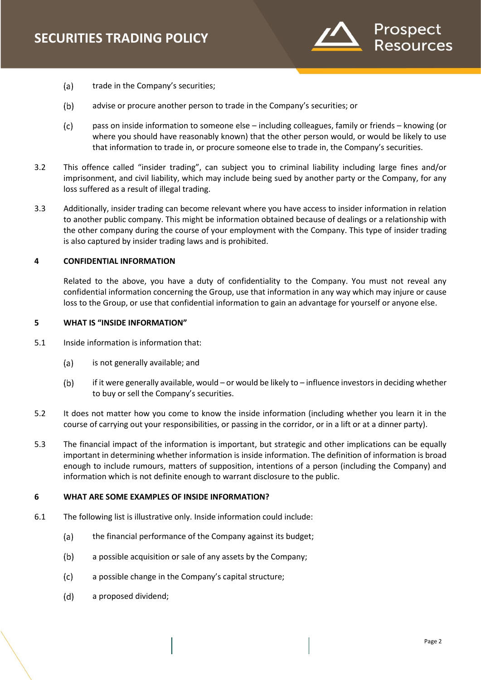

- $(a)$ trade in the Company's securities;
- $(b)$ advise or procure another person to trade in the Company's securities; or
- $(c)$ pass on inside information to someone else – including colleagues, family or friends – knowing (or where you should have reasonably known) that the other person would, or would be likely to use that information to trade in, or procure someone else to trade in, the Company's securities.
- 3.2 This offence called "insider trading", can subject you to criminal liability including large fines and/or imprisonment, and civil liability, which may include being sued by another party or the Company, for any loss suffered as a result of illegal trading.
- 3.3 Additionally, insider trading can become relevant where you have access to insider information in relation to another public company. This might be information obtained because of dealings or a relationship with the other company during the course of your employment with the Company. This type of insider trading is also captured by insider trading laws and is prohibited.

# **4 CONFIDENTIAL INFORMATION**

Related to the above, you have a duty of confidentiality to the Company. You must not reveal any confidential information concerning the Group, use that information in any way which may injure or cause loss to the Group, or use that confidential information to gain an advantage for yourself or anyone else.

#### **5 WHAT IS "INSIDE INFORMATION"**

- 5.1 Inside information is information that:
	- $(a)$ is not generally available; and
	- $(b)$ if it were generally available, would – or would be likely to – influence investors in deciding whether to buy or sell the Company's securities.
- 5.2 It does not matter how you come to know the inside information (including whether you learn it in the course of carrying out your responsibilities, or passing in the corridor, or in a lift or at a dinner party).
- 5.3 The financial impact of the information is important, but strategic and other implications can be equally important in determining whether information is inside information. The definition of information is broad enough to include rumours, matters of supposition, intentions of a person (including the Company) and information which is not definite enough to warrant disclosure to the public.

#### **6 WHAT ARE SOME EXAMPLES OF INSIDE INFORMATION?**

- 6.1 The following list is illustrative only. Inside information could include:
	- $(a)$ the financial performance of the Company against its budget;
	- $(b)$ a possible acquisition or sale of any assets by the Company;
	- $(c)$ a possible change in the Company's capital structure;
	- $(d)$ a proposed dividend;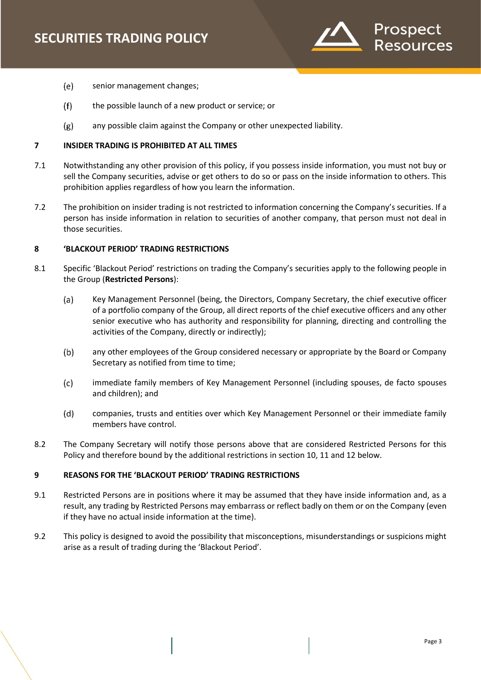

- $(e)$ senior management changes;
- $(f)$ the possible launch of a new product or service; or
- any possible claim against the Company or other unexpected liability.  $(g)$

# <span id="page-3-0"></span>**7 INSIDER TRADING IS PROHIBITED AT ALL TIMES**

- 7.1 Notwithstanding any other provision of this policy, if you possess inside information, you must not buy or sell the Company securities, advise or get others to do so or pass on the inside information to others. This prohibition applies regardless of how you learn the information.
- 7.2 The prohibition on insider trading is not restricted to information concerning the Company's securities. If a person has inside information in relation to securities of another company, that person must not deal in those securities.

#### **8 'BLACKOUT PERIOD' TRADING RESTRICTIONS**

- 8.1 Specific 'Blackout Period' restrictions on trading the Company's securities apply to the following people in the Group (**Restricted Persons**):
	- $(a)$ Key Management Personnel (being, the Directors, Company Secretary, the chief executive officer of a portfolio company of the Group, all direct reports of the chief executive officers and any other senior executive who has authority and responsibility for planning, directing and controlling the activities of the Company, directly or indirectly);
	- $(b)$ any other employees of the Group considered necessary or appropriate by the Board or Company Secretary as notified from time to time;
	- $(c)$ immediate family members of Key Management Personnel (including spouses, de facto spouses and children); and
	- $(d)$ companies, trusts and entities over which Key Management Personnel or their immediate family members have control.
- 8.2 The Company Secretary will notify those persons above that are considered Restricted Persons for this Policy and therefore bound by the additional restrictions in section 10, 11 and 12 below.

# **9 REASONS FOR THE 'BLACKOUT PERIOD' TRADING RESTRICTIONS**

- 9.1 Restricted Persons are in positions where it may be assumed that they have inside information and, as a result, any trading by Restricted Persons may embarrass or reflect badly on them or on the Company (even if they have no actual inside information at the time).
- 9.2 This policy is designed to avoid the possibility that misconceptions, misunderstandings or suspicions might arise as a result of trading during the 'Blackout Period'.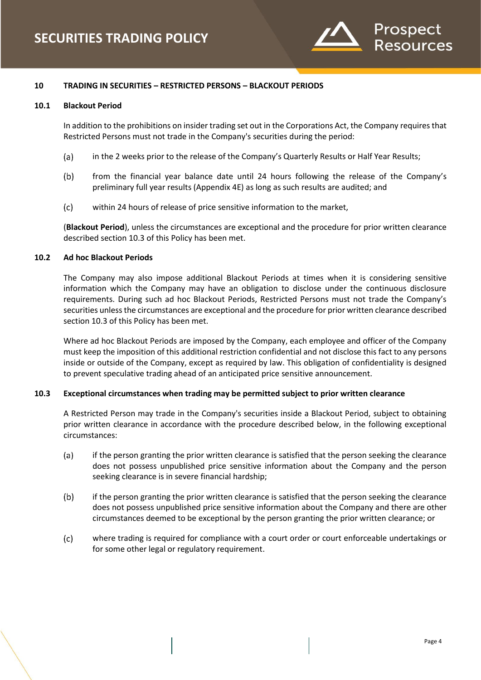

# **10 TRADING IN SECURITIES – RESTRICTED PERSONS – BLACKOUT PERIODS**

#### **10.1 Blackout Period**

In addition to the prohibitions on insider trading set out in the Corporations Act, the Company requires that Restricted Persons must not trade in the Company's securities during the period:

- $(a)$ in the 2 weeks prior to the release of the Company's Quarterly Results or Half Year Results;
- $(b)$ from the financial year balance date until 24 hours following the release of the Company's preliminary full year results (Appendix 4E) as long as such results are audited; and
- $(c)$ within 24 hours of release of price sensitive information to the market,

(**Blackout Period**), unless the circumstances are exceptional and the procedure for prior written clearance described section [10.3](#page-4-0) of this Policy has been met.

# **10.2 Ad hoc Blackout Periods**

The Company may also impose additional Blackout Periods at times when it is considering sensitive information which the Company may have an obligation to disclose under the continuous disclosure requirements. During such ad hoc Blackout Periods, Restricted Persons must not trade the Company's securities unless the circumstances are exceptional and the procedure for prior written clearance described section 10.3 of this Policy has been met.

Where ad hoc Blackout Periods are imposed by the Company, each employee and officer of the Company must keep the imposition of this additional restriction confidential and not disclose this fact to any persons inside or outside of the Company, except as required by law. This obligation of confidentiality is designed to prevent speculative trading ahead of an anticipated price sensitive announcement.

#### <span id="page-4-0"></span>**10.3 Exceptional circumstances when trading may be permitted subject to prior written clearance**

A Restricted Person may trade in the Company's securities inside a Blackout Period, subject to obtaining prior written clearance in accordance with the procedure described below, in the following exceptional circumstances:

- $(a)$ if the person granting the prior written clearance is satisfied that the person seeking the clearance does not possess unpublished price sensitive information about the Company and the person seeking clearance is in severe financial hardship;
- $(b)$ if the person granting the prior written clearance is satisfied that the person seeking the clearance does not possess unpublished price sensitive information about the Company and there are other circumstances deemed to be exceptional by the person granting the prior written clearance; or
- $(c)$ where trading is required for compliance with a court order or court enforceable undertakings or for some other legal or regulatory requirement.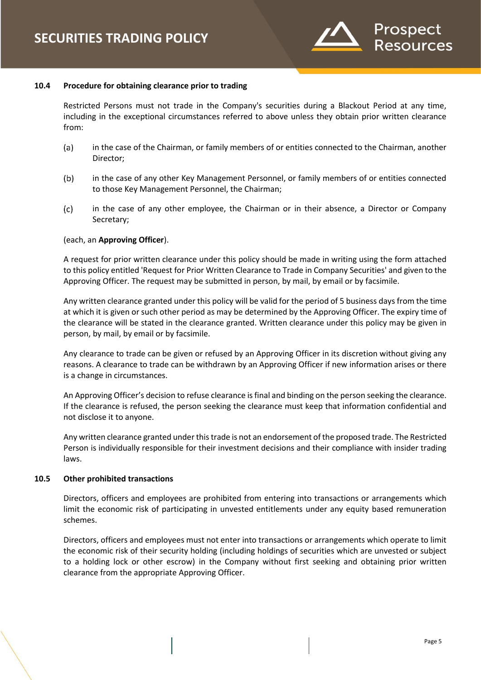

#### **10.4 Procedure for obtaining clearance prior to trading**

Restricted Persons must not trade in the Company's securities during a Blackout Period at any time, including in the exceptional circumstances referred to above unless they obtain prior written clearance from:

- $(a)$ in the case of the Chairman, or family members of or entities connected to the Chairman, another Director;
- $(b)$ in the case of any other Key Management Personnel, or family members of or entities connected to those Key Management Personnel, the Chairman;
- $(c)$ in the case of any other employee, the Chairman or in their absence, a Director or Company Secretary;

## (each, an **Approving Officer**).

A request for prior written clearance under this policy should be made in writing using the form attached to this policy entitled 'Request for Prior Written Clearance to Trade in Company Securities' and given to the Approving Officer. The request may be submitted in person, by mail, by email or by facsimile.

Any written clearance granted under this policy will be valid for the period of 5 business days from the time at which it is given or such other period as may be determined by the Approving Officer. The expiry time of the clearance will be stated in the clearance granted. Written clearance under this policy may be given in person, by mail, by email or by facsimile.

Any clearance to trade can be given or refused by an Approving Officer in its discretion without giving any reasons. A clearance to trade can be withdrawn by an Approving Officer if new information arises or there is a change in circumstances.

An Approving Officer's decision to refuse clearance is final and binding on the person seeking the clearance. If the clearance is refused, the person seeking the clearance must keep that information confidential and not disclose it to anyone.

Any written clearance granted under this trade is not an endorsement of the proposed trade. The Restricted Person is individually responsible for their investment decisions and their compliance with insider trading laws.

#### **10.5 Other prohibited transactions**

Directors, officers and employees are prohibited from entering into transactions or arrangements which limit the economic risk of participating in unvested entitlements under any equity based remuneration schemes.

Directors, officers and employees must not enter into transactions or arrangements which operate to limit the economic risk of their security holding (including holdings of securities which are unvested or subject to a holding lock or other escrow) in the Company without first seeking and obtaining prior written clearance from the appropriate Approving Officer.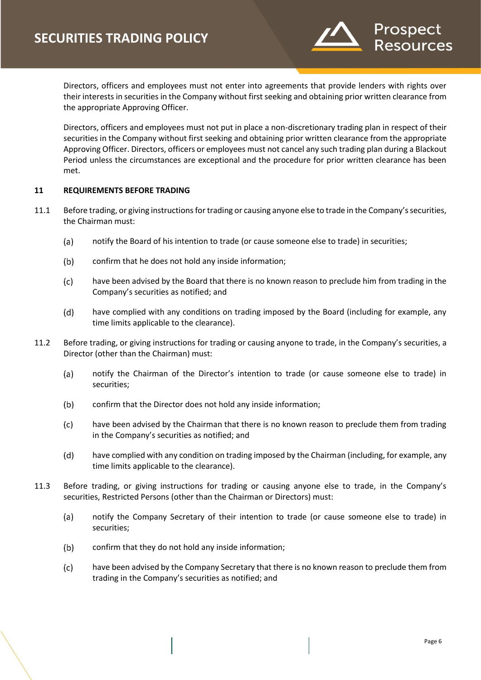

Directors, officers and employees must not enter into agreements that provide lenders with rights over their interests in securities in the Company without first seeking and obtaining prior written clearance from the appropriate Approving Officer.

Directors, officers and employees must not put in place a non-discretionary trading plan in respect of their securities in the Company without first seeking and obtaining prior written clearance from the appropriate Approving Officer. Directors, officers or employees must not cancel any such trading plan during a Blackout Period unless the circumstances are exceptional and the procedure for prior written clearance has been met.

# **11 REQUIREMENTS BEFORE TRADING**

- 11.1 Before trading, or giving instructions for trading or causing anyone else to trade in the Company's securities, the Chairman must:
	- (a) notify the Board of his intention to trade (or cause someone else to trade) in securities;
	- $(b)$ confirm that he does not hold any inside information;
	- $(c)$ have been advised by the Board that there is no known reason to preclude him from trading in the Company's securities as notified; and
	- $(d)$ have complied with any conditions on trading imposed by the Board (including for example, any time limits applicable to the clearance).
- 11.2 Before trading, or giving instructions for trading or causing anyone to trade, in the Company's securities, a Director (other than the Chairman) must:
	- $(a)$ notify the Chairman of the Director's intention to trade (or cause someone else to trade) in securities;
	- $(b)$ confirm that the Director does not hold any inside information;
	- $(c)$ have been advised by the Chairman that there is no known reason to preclude them from trading in the Company's securities as notified; and
	- $(d)$ have complied with any condition on trading imposed by the Chairman (including, for example, any time limits applicable to the clearance).
- 11.3 Before trading, or giving instructions for trading or causing anyone else to trade, in the Company's securities, Restricted Persons (other than the Chairman or Directors) must:
	- $(a)$ notify the Company Secretary of their intention to trade (or cause someone else to trade) in securities;
	- $(b)$ confirm that they do not hold any inside information;
	- $(c)$ have been advised by the Company Secretary that there is no known reason to preclude them from trading in the Company's securities as notified; and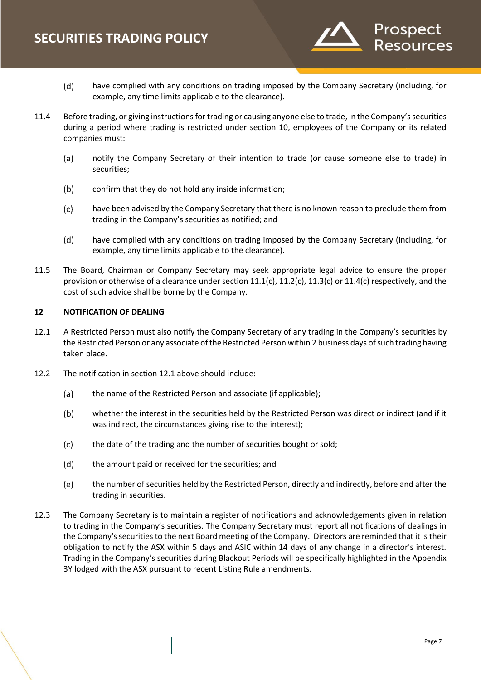

- $(d)$ have complied with any conditions on trading imposed by the Company Secretary (including, for example, any time limits applicable to the clearance).
- 11.4 Before trading, or giving instructions for trading or causing anyone else to trade, in the Company's securities during a period where trading is restricted under section 10, employees of the Company or its related companies must:
	- notify the Company Secretary of their intention to trade (or cause someone else to trade) in  $(a)$ securities;
	- $(b)$ confirm that they do not hold any inside information;
	- $(c)$ have been advised by the Company Secretary that there is no known reason to preclude them from trading in the Company's securities as notified; and
	- $(d)$ have complied with any conditions on trading imposed by the Company Secretary (including, for example, any time limits applicable to the clearance).
- 11.5 The Board, Chairman or Company Secretary may seek appropriate legal advice to ensure the proper provision or otherwise of a clearance under section  $11.1(c)$ ,  $11.2(c)$ ,  $11.3(c)$  or  $11.4(c)$  respectively, and the cost of such advice shall be borne by the Company.

# **12 NOTIFICATION OF DEALING**

- 12.1 A Restricted Person must also notify the Company Secretary of any trading in the Company's securities by the Restricted Person or any associate of the Restricted Person within 2 business days of such trading having taken place.
- 12.2 The notification in section 12.1 above should include:
	- $(a)$ the name of the Restricted Person and associate (if applicable);
	- $(b)$ whether the interest in the securities held by the Restricted Person was direct or indirect (and if it was indirect, the circumstances giving rise to the interest);
	- $(c)$ the date of the trading and the number of securities bought or sold;
	- $(d)$ the amount paid or received for the securities; and
	- $(e)$ the number of securities held by the Restricted Person, directly and indirectly, before and after the trading in securities.
- 12.3 The Company Secretary is to maintain a register of notifications and acknowledgements given in relation to trading in the Company's securities. The Company Secretary must report all notifications of dealings in the Company's securities to the next Board meeting of the Company. Directors are reminded that it is their obligation to notify the ASX within 5 days and ASIC within 14 days of any change in a director's interest. Trading in the Company's securities during Blackout Periods will be specifically highlighted in the Appendix 3Y lodged with the ASX pursuant to recent Listing Rule amendments.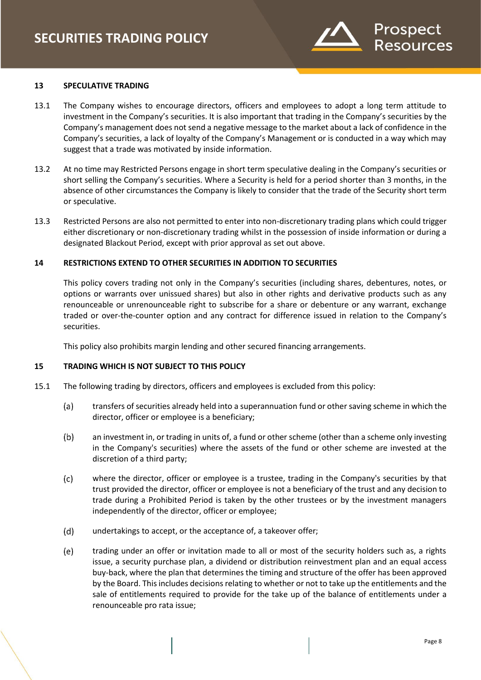

# **13 SPECULATIVE TRADING**

- 13.1 The Company wishes to encourage directors, officers and employees to adopt a long term attitude to investment in the Company's securities. It is also important that trading in the Company's securities by the Company's management does not send a negative message to the market about a lack of confidence in the Company's securities, a lack of loyalty of the Company's Management or is conducted in a way which may suggest that a trade was motivated by inside information.
- 13.2 At no time may Restricted Persons engage in short term speculative dealing in the Company's securities or short selling the Company's securities. Where a Security is held for a period shorter than 3 months, in the absence of other circumstances the Company is likely to consider that the trade of the Security short term or speculative.
- 13.3 Restricted Persons are also not permitted to enter into non-discretionary trading plans which could trigger either discretionary or non-discretionary trading whilst in the possession of inside information or during a designated Blackout Period, except with prior approval as set out above.

#### **14 RESTRICTIONS EXTEND TO OTHER SECURITIES IN ADDITION TO SECURITIES**

This policy covers trading not only in the Company's securities (including shares, debentures, notes, or options or warrants over unissued shares) but also in other rights and derivative products such as any renounceable or unrenounceable right to subscribe for a share or debenture or any warrant, exchange traded or over-the-counter option and any contract for difference issued in relation to the Company's securities.

This policy also prohibits margin lending and other secured financing arrangements.

# **15 TRADING WHICH IS NOT SUBJECT TO THIS POLICY**

- 15.1 The following trading by directors, officers and employees is excluded from this policy:
	- $(a)$ transfers of securities already held into a superannuation fund or other saving scheme in which the director, officer or employee is a beneficiary;
	- $(b)$ an investment in, or trading in units of, a fund or other scheme (other than a scheme only investing in the Company's securities) where the assets of the fund or other scheme are invested at the discretion of a third party;
	- $(c)$ where the director, officer or employee is a trustee, trading in the Company's securities by that trust provided the director, officer or employee is not a beneficiary of the trust and any decision to trade during a Prohibited Period is taken by the other trustees or by the investment managers independently of the director, officer or employee;
	- $(d)$ undertakings to accept, or the acceptance of, a takeover offer;
	- $(e)$ trading under an offer or invitation made to all or most of the security holders such as, a rights issue, a security purchase plan, a dividend or distribution reinvestment plan and an equal access buy-back, where the plan that determines the timing and structure of the offer has been approved by the Board. This includes decisions relating to whether or not to take up the entitlements and the sale of entitlements required to provide for the take up of the balance of entitlements under a renounceable pro rata issue;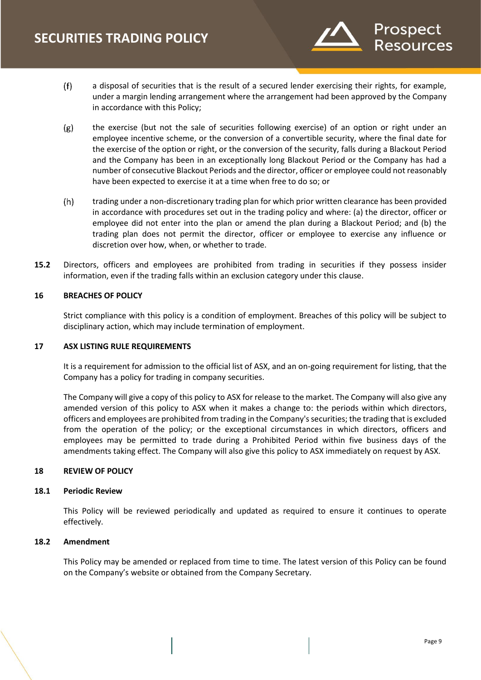

- $(f)$ a disposal of securities that is the result of a secured lender exercising their rights, for example, under a margin lending arrangement where the arrangement had been approved by the Company in accordance with this Policy;
- $(g)$ the exercise (but not the sale of securities following exercise) of an option or right under an employee incentive scheme, or the conversion of a convertible security, where the final date for the exercise of the option or right, or the conversion of the security, falls during a Blackout Period and the Company has been in an exceptionally long Blackout Period or the Company has had a number of consecutive Blackout Periods and the director, officer or employee could not reasonably have been expected to exercise it at a time when free to do so; or
- $(h)$ trading under a non-discretionary trading plan for which prior written clearance has been provided in accordance with procedures set out in the trading policy and where: (a) the director, officer or employee did not enter into the plan or amend the plan during a Blackout Period; and (b) the trading plan does not permit the director, officer or employee to exercise any influence or discretion over how, when, or whether to trade.
- **15.2** Directors, officers and employees are prohibited from trading in securities if they possess insider information, even if the trading falls within an exclusion category under this clause.

# **16 BREACHES OF POLICY**

Strict compliance with this policy is a condition of employment. Breaches of this policy will be subject to disciplinary action, which may include termination of employment.

#### **17 ASX LISTING RULE REQUIREMENTS**

It is a requirement for admission to the official list of ASX, and an on-going requirement for listing, that the Company has a policy for trading in company securities.

The Company will give a copy of this policy to ASX for release to the market. The Company will also give any amended version of this policy to ASX when it makes a change to: the periods within which directors, officers and employees are prohibited from trading in the Company's securities; the trading that is excluded from the operation of the policy; or the exceptional circumstances in which directors, officers and employees may be permitted to trade during a Prohibited Period within five business days of the amendments taking effect. The Company will also give this policy to ASX immediately on request by ASX.

#### **18 REVIEW OF POLICY**

#### **18.1 Periodic Review**

This Policy will be reviewed periodically and updated as required to ensure it continues to operate effectively.

# **18.2 Amendment**

This Policy may be amended or replaced from time to time. The latest version of this Policy can be found on the Company's website or obtained from the Company Secretary.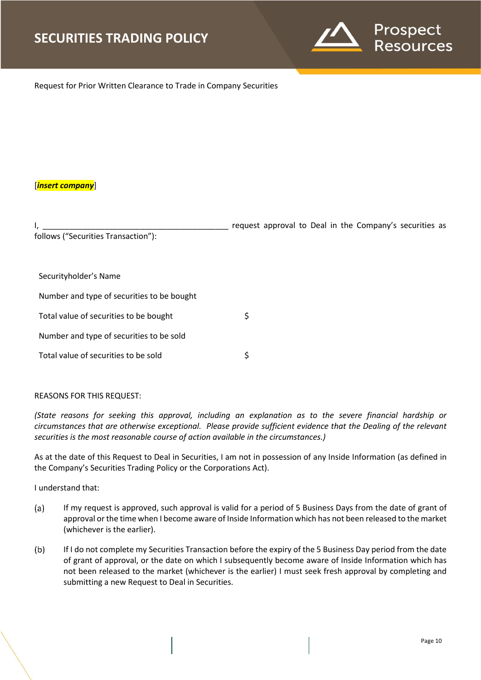

Request for Prior Written Clearance to Trade in Company Securities

# [*insert company*]

I, \_\_\_\_\_\_\_\_\_\_\_\_\_\_\_\_\_\_\_\_\_\_\_\_\_\_\_\_\_\_\_\_\_\_\_\_\_\_\_\_\_\_ request approval to Deal in the Company's securities as follows ("Securities Transaction"):

Securityholder's Name

Number and type of securities to be bought

Total value of securities to be bought  $\zeta$ 

Number and type of securities to be sold

Total value of securities to be sold  $\zeta$ 

# REASONS FOR THIS REQUEST:

*(State reasons for seeking this approval, including an explanation as to the severe financial hardship or circumstances that are otherwise exceptional. Please provide sufficient evidence that the Dealing of the relevant securities is the most reasonable course of action available in the circumstances.)*

As at the date of this Request to Deal in Securities, I am not in possession of any Inside Information (as defined in the Company's Securities Trading Policy or the Corporations Act).

I understand that:

- $(a)$ If my request is approved, such approval is valid for a period of 5 Business Days from the date of grant of approval or the time when I become aware of Inside Information which has not been released to the market (whichever is the earlier).
- $(b)$ If I do not complete my Securities Transaction before the expiry of the 5 Business Day period from the date of grant of approval, or the date on which I subsequently become aware of Inside Information which has not been released to the market (whichever is the earlier) I must seek fresh approval by completing and submitting a new Request to Deal in Securities.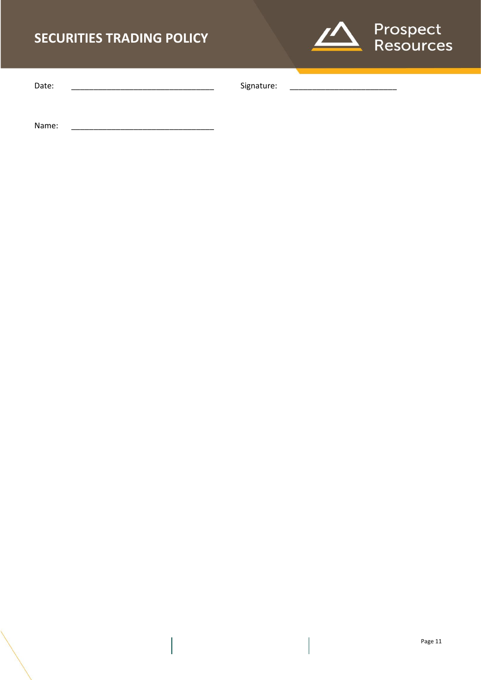# **SECURITIES TRADING POLICY**



Date: \_\_\_\_\_\_\_\_\_\_\_\_\_\_\_\_\_\_\_\_\_\_\_\_\_\_\_\_\_\_\_\_ Signature: \_\_\_\_\_\_\_\_\_\_\_\_\_\_\_\_\_\_\_\_\_\_\_\_

Name: